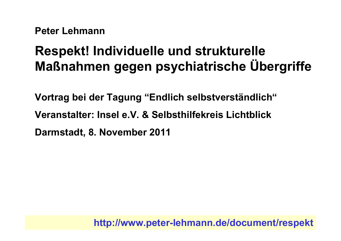**Peter Lehmann** 

# **Respekt! Individuelle und strukturelle** Maßnahmen gegen psychiatrische Übergriffe

Vortrag bei der Tagung "Endlich selbstverständlich" Veranstalter: Insel e.V. & Selbsthilfekreis Lichtblick Darmstadt, 8. November 2011

http://www.peter-lehmann.de/document/respekt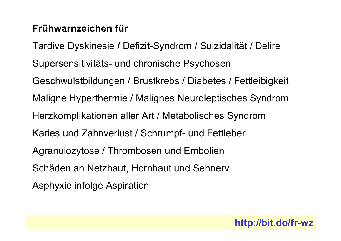# Frühwarnzeichen für

Tardive Dyskinesie / Defizit-Syndrom / Suizidalität / Delire Supersensitivitäts- und chronische Psychosen Geschwulstbildungen / Brustkrebs / Diabetes / Fettleibigkeit Maligne Hyperthermie / Malignes Neuroleptisches Syndrom Herzkomplikationen aller Art / Metabolisches Syndrom Karies und Zahnverlust / Schrumpf- und Fettleber Agranulozytose / Thrombosen und Embolien Schäden an Netzhaut, Hornhaut und Sehnerv Asphyxie infolge Aspiration

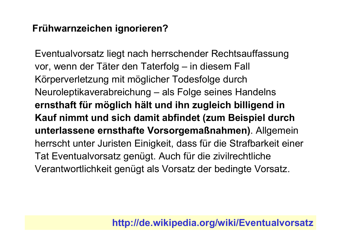# Frühwarnzeichen ignorieren?

Eventualvorsatz liegt nach herrschender Rechtsauffassung vor, wenn der Täter den Taterfolg – in diesem Fall Körperverletzung mit möglicher Todesfolge durch Neuroleptikaverabreichung – als Folge seines Handelns ernsthaft für möglich hält und ihn zugleich billigend in Kauf nimmt und sich damit abfindet (zum Beispiel durch unterlassene ernsthafte Vorsorgemaßnahmen). Allgemein herrscht unter Juristen Einigkeit, dass für die Strafbarkeit einer Tat Eventualvorsatz genügt. Auch für die zivilrechtliche Verantwortlichkeit genügt als Vorsatz der bedingte Vorsatz.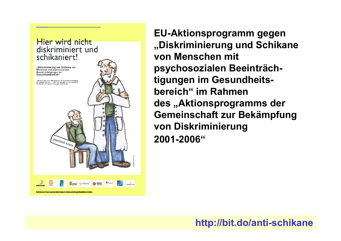

**EU-Aktionsprogramm gegen** "Diskriminierung und Schikane von Menschen mit psychosozialen Beeinträchtigungen im Gesundheitsbereich" im Rahmen des "Aktionsprogramms der Gemeinschaft zur Bekämpfung von Diskriminierung 2001-2006"

#### http://bit.do/anti-schikane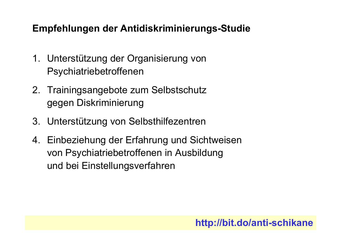# Empfehlungen der Antidiskriminierungs-Studie

- 1. Unterstützung der Organisierung von Psychiatriebetroffenen
- 2. Trainingsangebote zum Selbstschutz gegen Diskriminierung
- 3. Unterstützung von Selbsthilfezentren
- 4. Einbeziehung der Erfahrung und Sichtweisen von Psychiatriebetroffenen in Ausbildung und bei Einstellungsverfahren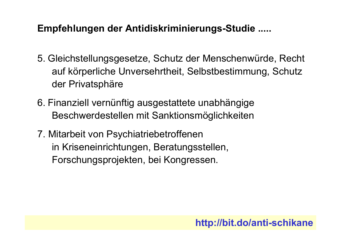#### Empfehlungen der Antidiskriminierungs-Studie .....

- 5. Gleichstellungsgesetze, Schutz der Menschenwürde, Recht auf körperliche Unversehrtheit, Selbstbestimmung, Schutz der Privatsphäre
- 6. Finanziell vernünftig ausgestattete unabhängige Beschwerdestellen mit Sanktionsmöglichkeiten
- 7. Mitarbeit von Psychiatriebetroffenen in Kriseneinrichtungen, Beratungsstellen, Forschungsprojekten, bei Kongressen.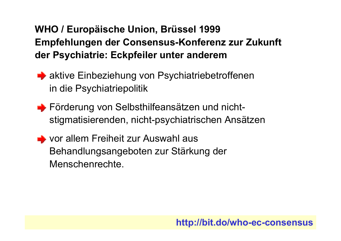# WHO / Europäische Union, Brüssel 1999 Empfehlungen der Consensus-Konferenz zur Zukunft der Psychiatrie: Eckpfeiler unter anderem

- A aktive Einbeziehung von Psychiatriebetroffenen in die Psychiatriepolitik
- Förderung von Selbsthilfeansätzen und nichtstigmatisierenden, nicht-psychiatrischen Ansätzen
- vor allem Freiheit zur Auswahl aus Behandlungsangeboten zur Stärkung der Menschenrechte.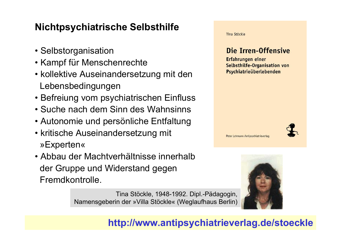# **Nichtpsychiatrische Selbsthilfe**

- Selbstorganisation
- Kampf für Menschenrechte
- kollektive Auseinandersetzung mit den Lebensbedingungen
- Befreiung vom psychiatrischen Einfluss
- Suche nach dem Sinn des Wahnsinns
- Autonomie und persönliche Entfaltung
- kritische Auseinandersetzung mit »Experten«
- Abbau der Machtverhältnisse innerhalb der Gruppe und Widerstand gegen Fremdkontrolle.

Tina Stöckle, 1948-1992. Dipl.-Pädagogin, Namensgeberin der »Villa Stöckle« (Weglaufhaus Berlin)

Tina Stöckle Die Irren-Offensive Erfahrungen einer Selbsthilfe-Organisation von Psychiatrieüberlebenden



Peter Lehmann Antipsychiatrieverlag



http://www.antipsychiatrieverlag.de/stoeckle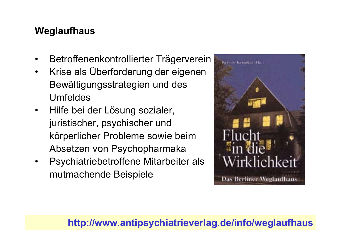#### Weglaufhaus

- Betroffenenkontrollierter Trägerverein  $\bullet$
- Krise als Überforderung der eigenen  $\bullet$ Bewältigungsstrategien und des **Umfeldes**
- Hilfe bei der Lösung sozialer,  $\bullet$ juristischer, psychischer und körperlicher Probleme sowie beim Absetzen von Psychopharmaka
- Psychiatriebetroffene Mitarbeiter als  $\bullet$ mutmachende Beispiele



#### http://www.antipsychiatrieverlag.de/info/weglaufhaus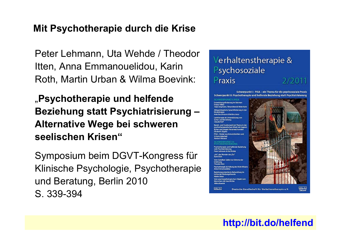#### Mit Psychotherapie durch die Krise

Peter Lehmann, Uta Wehde / Theodor Itten, Anna Emmanouelidou, Karin Roth, Martin Urban & Wilma Boevink:

"Psychotherapie und helfende Beziehung statt Psychiatrisierung -**Alternative Wege bei schweren** seelischen Krisen"

Symposium beim DGVT-Kongress für Klinische Psychologie, Psychotherapie und Beratung, Berlin 2010 S. 339-394

#### Verhaltenstherapie & Psychosoziale Praxis 2/2011

Schwerpunkt I: PISA - ein Thema für die psychosoziale Praxis Schwerpunkt II: Psychotherapie und helfende Beziehung statt Psychiatrisierung

amtharania ais i intertifizung vor

herzoie und helfende Beziehung **Peter Lehmann & Uta Webde** "kh", das Wunder des "Du osoriantiarta Rahandiuno ir Vam psychopa **Manschan wit Couchiches** *<u>Mimo Powink</u>* 

**Electric** 



監

http://bit.do/helfend

Deutsche Gesellschaft für Verhaltenstherapie e.V.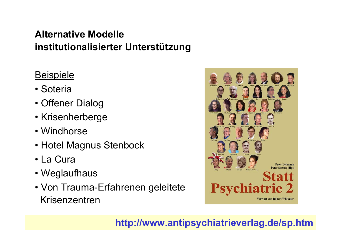# **Alternative Modelle** institutionalisierter Unterstützung

# **Beispiele**

- Soteria
- Offener Dialog
- Krisenherberge
- Windhorse
- Hotel Magnus Stenbock
- La Cura
- Weglaufhaus
- Von Trauma-Erfahrenen geleitete Krisenzentren

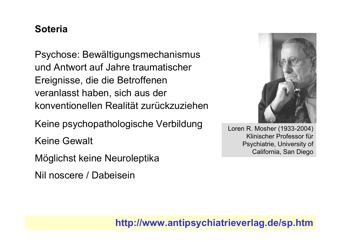#### **Soteria**

Psychose: Bewältigungsmechanismus und Antwort auf Jahre traumatischer Ereignisse, die die Betroffenen veranlasst haben, sich aus der konventionellen Realität zurückzuziehen

Keine psychopathologische Verbildung

**Keine Gewalt** 

Möglichst keine Neuroleptika

Nil noscere / Dabeisein



Loren R. Mosher (1933-2004) Klinischer Professor für Psychiatrie, University of California, San Diego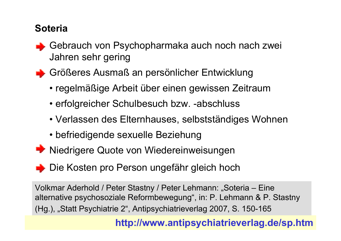# **Soteria**

- Gebrauch von Psychopharmaka auch noch nach zwei Jahren sehr gering
- Größeres Ausmaß an persönlicher Entwicklung
	- regelmäßige Arbeit über einen gewissen Zeitraum
	- erfolgreicher Schulbesuch bzw. -abschluss
	- Verlassen des Elternhauses, selbstständiges Wohnen
	- befriedigende sexuelle Beziehung
- Niedrigere Quote von Wiedereinweisungen
- Die Kosten pro Person ungefähr gleich hoch

Volkmar Aderhold / Peter Stastny / Peter Lehmann: "Soteria – Eine alternative psychosoziale Reformbewegung", in: P. Lehmann & P. Stastny (Hg.), "Statt Psychiatrie 2", Antipsychiatrieverlag 2007, S. 150-165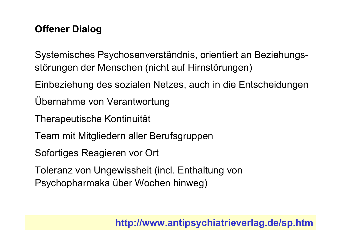# **Offener Dialog**

Systemisches Psychosenverständnis, orientiert an Beziehungsstörungen der Menschen (nicht auf Hirnstörungen)

Einbeziehung des sozialen Netzes, auch in die Entscheidungen

Übernahme von Verantwortung

**Therapeutische Kontinuität** 

Team mit Mitgliedern aller Berufsgruppen

Sofortiges Reagieren vor Ort

Toleranz von Ungewissheit (incl. Enthaltung von Psychopharmaka über Wochen hinweg)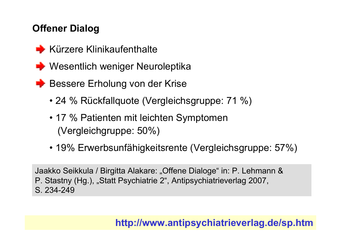# **Offener Dialog**

- $\blacktriangleright$  Kürzere Klinikaufenthalte
- ← Wesentlich weniger Neuroleptika
- ← Bessere Erholung von der Krise
	- 24 % Rückfallquote (Vergleichsgruppe: 71 %)
	- 17 % Patienten mit leichten Symptomen (Vergleichgruppe: 50%)
	- 19% Erwerbsunfähigkeitsrente (Vergleichsgruppe: 57%)

Jaakko Seikkula / Birgitta Alakare: "Offene Dialoge" in: P. Lehmann & P. Stastny (Hg.), "Statt Psychiatrie 2", Antipsychiatrieverlag 2007, S. 234-249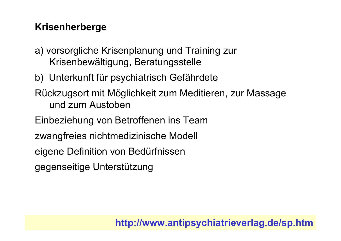# **Krisenherberge**

- a) vorsorgliche Krisenplanung und Training zur Krisenbewältigung, Beratungsstelle
- b) Unterkunft für psychiatrisch Gefährdete
- Rückzugsort mit Möglichkeit zum Meditieren, zur Massage und zum Austoben
- Einbeziehung von Betroffenen ins Team
- zwangfreies nichtmedizinische Modell
- eigene Definition von Bedürfnissen
- gegenseitige Unterstützung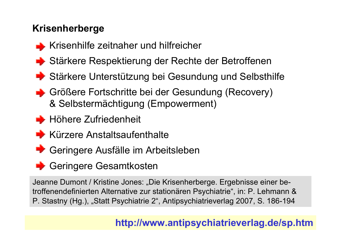# **Krisenherberge**

- Krisenhilfe zeitnaher und hilfreicher
- Stärkere Respektierung der Rechte der Betroffenen
- Stärkere Unterstützung bei Gesundung und Selbsthilfe
- Größere Fortschritte bei der Gesundung (Recovery) & Selbstermächtigung (Empowerment)
- $\rightarrow$  Höhere Zufriedenheit
- Kürzere Anstaltsaufenthalte
- Geringere Ausfälle im Arbeitsleben
- Geringere Gesamtkosten

Jeanne Dumont / Kristine Jones: "Die Krisenherberge. Ergebnisse einer betroffenendefinierten Alternative zur stationären Psychiatrie", in: P. Lehmann & P. Stastny (Hg.), "Statt Psychiatrie 2", Antipsychiatrieverlag 2007, S. 186-194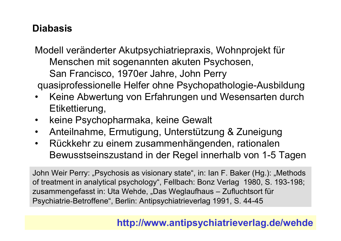# **Diabasis**

Modell veränderter Akutpsychiatriepraxis, Wohnprojekt für Menschen mit sogenannten akuten Psychosen, San Francisco, 1970er Jahre, John Perry quasiprofessionelle Helfer ohne Psychopathologie-Ausbildung

- Keine Abwertung von Erfahrungen und Wesensarten durch Etikettierung,
- keine Psychopharmaka, keine Gewalt
- Anteilnahme, Ermutigung, Unterstützung & Zuneigung  $\bullet$
- Rückkehr zu einem zusammenhängenden, rationalen  $\bullet$ Bewusstseinszustand in der Regel innerhalb von 1-5 Tagen

John Weir Perry: "Psychosis as visionary state", in: Ian F. Baker (Hg.): "Methods of treatment in analytical psychology", Fellbach: Bonz Verlag 1980, S. 193-198; zusammengefasst in: Uta Wehde, "Das Weglaufhaus - Zufluchtsort für Psychiatrie-Betroffene", Berlin: Antipsychiatrieverlag 1991, S. 44-45

#### http://www.antipsychiatrieverlag.de/wehde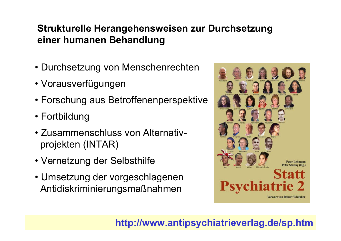# Strukturelle Herangehensweisen zur Durchsetzung einer humanen Behandlung

- Durchsetzung von Menschenrechten
- Vorausverfügungen
- Forschung aus Betroffenenperspektive
- Fortbildung
- Zusammenschluss von Alternativprojekten (INTAR)
- Vernetzung der Selbsthilfe
- Umsetzung der vorgeschlagenen Antidiskriminierungsmaßnahmen

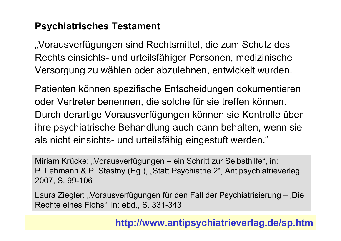#### **Psychiatrisches Testament**

"Vorausverfügungen sind Rechtsmittel, die zum Schutz des Rechts einsichts- und urteilsfähiger Personen, medizinische Versorgung zu wählen oder abzulehnen, entwickelt wurden.

Patienten können spezifische Entscheidungen dokumentieren oder Vertreter benennen, die solche für sie treffen können. Durch derartige Vorausverfügungen können sie Kontrolle über ihre psychiatrische Behandlung auch dann behalten, wenn sie als nicht einsichts- und urteilsfähig eingestuft werden."

Miriam Krücke: "Vorausverfügungen - ein Schritt zur Selbsthilfe", in: P. Lehmann & P. Stastny (Hg.), "Statt Psychiatrie 2", Antipsychiatrieverlag 2007, S. 99-106

Laura Ziegler: "Vorausverfügungen für den Fall der Psychiatrisierung - 'Die Rechte eines Flohs" in: ebd., S. 331-343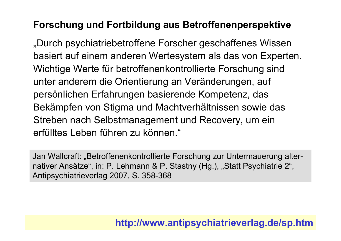#### **Forschung und Fortbildung aus Betroffenenperspektive**

"Durch psychiatriebetroffene Forscher geschaffenes Wissen basiert auf einem anderen Wertesystem als das von Experten. Wichtige Werte für betroffenenkontrollierte Forschung sind unter anderem die Orientierung an Veränderungen, auf persönlichen Erfahrungen basierende Kompetenz, das Bekämpfen von Stigma und Machtverhältnissen sowie das Streben nach Selbstmanagement und Recovery, um ein erfülltes Leben führen zu können."

Jan Wallcraft: "Betroffenenkontrollierte Forschung zur Untermauerung alternativer Ansätze", in: P. Lehmann & P. Stastny (Hg.), "Statt Psychiatrie 2", Antipsychiatrieverlag 2007, S. 358-368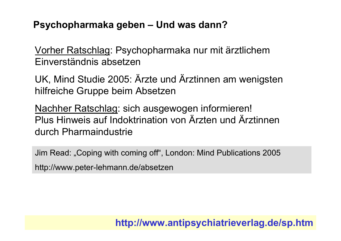#### Psychopharmaka geben – Und was dann?

Vorher Ratschlag: Psychopharmaka nur mit ärztlichem Einverständnis absetzen

UK, Mind Studie 2005: Arzte und Arztinnen am wenigsten hilfreiche Gruppe beim Absetzen

Nachher Ratschlag: sich ausgewogen informieren! Plus Hinweis auf Indoktrination von Ärzten und Ärztinnen durch Pharmaindustrie

Jim Read: "Coping with coming off", London: Mind Publications 2005 http://www.peter-lehmann.de/absetzen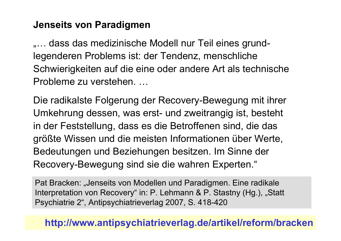#### **Jenseits von Paradigmen**

"... dass das medizinische Modell nur Teil eines grundlegenderen Problems ist: der Tendenz, menschliche Schwierigkeiten auf die eine oder andere Art als technische Probleme zu verstehen....

Die radikalste Folgerung der Recovery-Bewegung mit ihrer Umkehrung dessen, was erst- und zweitrangig ist, besteht in der Feststellung, dass es die Betroffenen sind, die das größte Wissen und die meisten Informationen über Werte, Bedeutungen und Beziehungen besitzen. Im Sinne der Recovery-Bewegung sind sie die wahren Experten."

Pat Bracken: "Jenseits von Modellen und Paradigmen. Eine radikale Interpretation von Recovery" in: P. Lehmann & P. Stastny (Hg.), "Statt Psychiatrie 2", Antipsychiatrieverlag 2007, S. 418-420

#### http://www.antipsychiatrieverlag.de/artikel/reform/bracken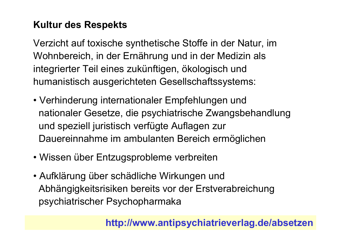# **Kultur des Respekts**

Verzicht auf toxische synthetische Stoffe in der Natur, im Wohnbereich, in der Ernährung und in der Medizin als integrierter Teil eines zukünftigen, ökologisch und humanistisch ausgerichteten Gesellschaftssystems:

- Verhinderung internationaler Empfehlungen und nationaler Gesetze, die psychiatrische Zwangsbehandlung und speziell juristisch verfügte Auflagen zur Dauereinnahme im ambulanten Bereich ermöglichen
- Wissen über Entzugsprobleme verbreiten
- Aufklärung über schädliche Wirkungen und Abhängigkeitsrisiken bereits vor der Erstverabreichung psychiatrischer Psychopharmaka

http://www.antipsychiatrieverlag.de/absetzen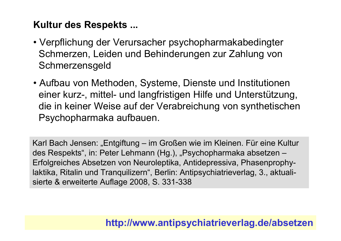# **Kultur des Respekts...**

- Verpflichung der Verursacher psychopharmakabedingter Schmerzen, Leiden und Behinderungen zur Zahlung von Schmerzensgeld
- Aufbau von Methoden, Systeme, Dienste und Institutionen einer kurz-, mittel- und langfristigen Hilfe und Unterstützung, die in keiner Weise auf der Verabreichung von synthetischen Psychopharmaka aufbauen.

Karl Bach Jensen: "Entgiftung – im Großen wie im Kleinen. Für eine Kultur des Respekts", in: Peter Lehmann (Hg.), "Psychopharmaka absetzen -Erfolgreiches Absetzen von Neuroleptika, Antidepressiva, Phasenprophylaktika, Ritalin und Tranquilizern", Berlin: Antipsychiatrieverlag, 3., aktualisierte & erweiterte Auflage 2008, S. 331-338

# http://www.antipsychiatrieverlag.de/absetzen